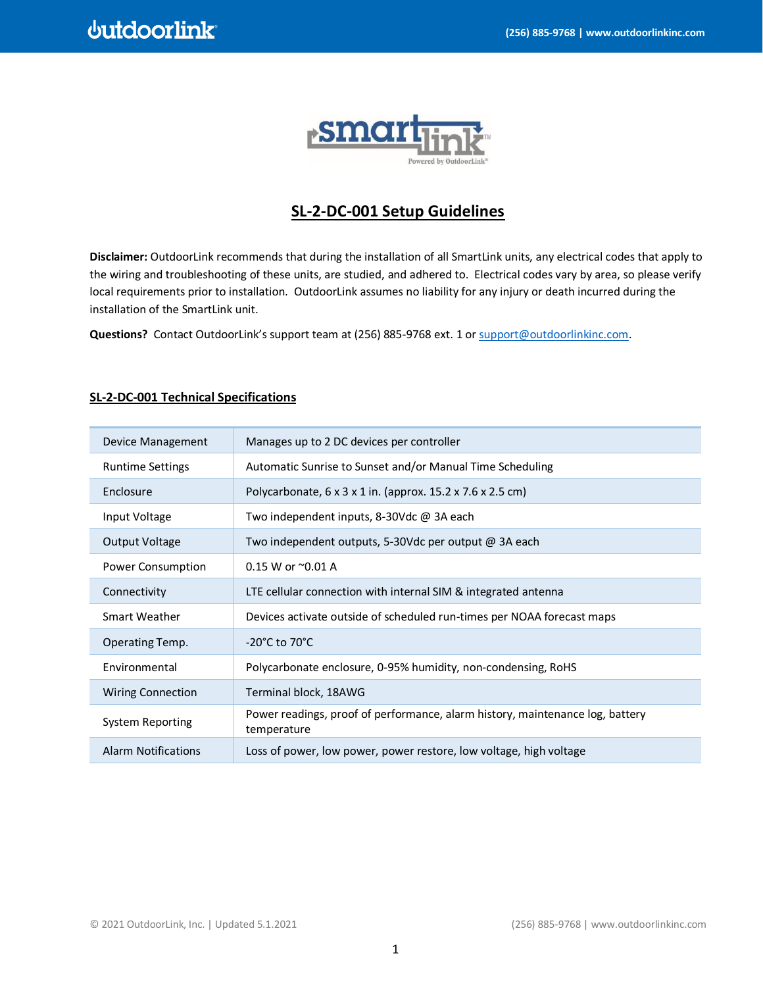

# **SL-2-DC-001 Setup Guidelines**

**Disclaimer:** OutdoorLink recommends that during the installation of all SmartLink units, any electrical codes that apply to the wiring and troubleshooting of these units, are studied, and adhered to. Electrical codes vary by area, so please verify local requirements prior to installation. OutdoorLink assumes no liability for any injury or death incurred during the installation of the SmartLink unit.

**Questions?** Contact OutdoorLink's support team at (256) 885-9768 ext. 1 o[r support@outdoorlinkinc.com.](mailto:support@outdoorlinkinc.com)

| Device Management          | Manages up to 2 DC devices per controller                                                    |
|----------------------------|----------------------------------------------------------------------------------------------|
| <b>Runtime Settings</b>    | Automatic Sunrise to Sunset and/or Manual Time Scheduling                                    |
| Enclosure                  | Polycarbonate, $6 \times 3 \times 1$ in. (approx. 15.2 x 7.6 x 2.5 cm)                       |
| Input Voltage              | Two independent inputs, 8-30Vdc @ 3A each                                                    |
| Output Voltage             | Two independent outputs, 5-30Vdc per output @ 3A each                                        |
| Power Consumption          | 0.15 W or $^{\sim}$ 0.01 A                                                                   |
| Connectivity               | LTE cellular connection with internal SIM & integrated antenna                               |
| Smart Weather              | Devices activate outside of scheduled run-times per NOAA forecast maps                       |
| Operating Temp.            | $-20^{\circ}$ C to 70 $^{\circ}$ C                                                           |
| Environmental              | Polycarbonate enclosure, 0-95% humidity, non-condensing, RoHS                                |
| <b>Wiring Connection</b>   | Terminal block, 18AWG                                                                        |
| System Reporting           | Power readings, proof of performance, alarm history, maintenance log, battery<br>temperature |
| <b>Alarm Notifications</b> | Loss of power, low power, power restore, low voltage, high voltage                           |

## **SL-2-DC-001 Technical Specifications**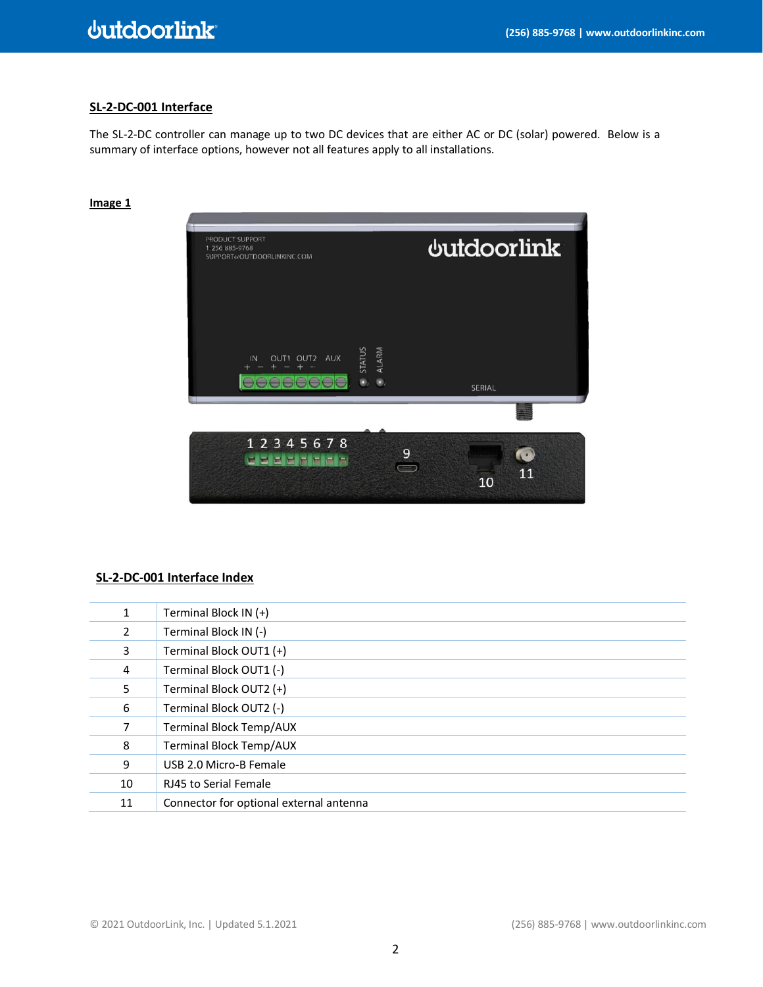## **SL-2-DC-001 Interface**

The SL-2-DC controller can manage up to two DC devices that are either AC or DC (solar) powered. Below is a summary of interface options, however not all features apply to all installations.

# PRODUCT SUPPORT **dutdoorlink** PRODUCT SUPPORT<br>1-256-885-9768<br>SUPPORT@OUTDOORLINKINC.COM ALARM IN OUT1 OUT2 AUX 00000000  $\bullet$ ,  $\bullet$ , SERIAL 12345678  $\overline{9}$ Q d sjejsjejsjejs  $\bigcirc$ 11 10

### **Image 1**

# **SL-2-DC-001 Interface Index**

| 1              | Terminal Block IN (+)                   |
|----------------|-----------------------------------------|
| $\overline{2}$ | Terminal Block IN (-)                   |
| 3              | Terminal Block OUT1 (+)                 |
| 4              | Terminal Block OUT1 (-)                 |
| 5              | Terminal Block OUT2 (+)                 |
| 6              | Terminal Block OUT2 (-)                 |
| 7              | <b>Terminal Block Temp/AUX</b>          |
| 8              | <b>Terminal Block Temp/AUX</b>          |
| 9              | USB 2.0 Micro-B Female                  |
| 10             | RJ45 to Serial Female                   |
| 11             | Connector for optional external antenna |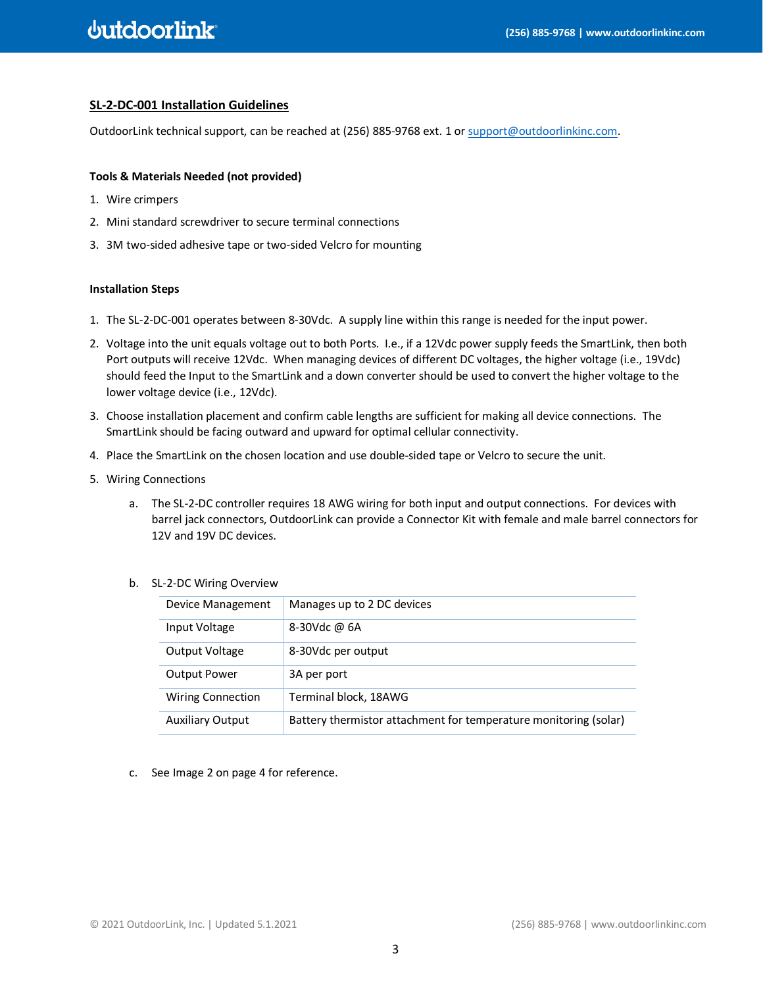### **SL-2-DC-001 Installation Guidelines**

OutdoorLink technical support, can be reached at (256) 885-9768 ext. 1 o[r support@outdoorlinkinc.com.](mailto:support@outdoorlinkinc.com)

#### **Tools & Materials Needed (not provided)**

- 1. Wire crimpers
- 2. Mini standard screwdriver to secure terminal connections
- 3. 3M two-sided adhesive tape or two-sided Velcro for mounting

#### **Installation Steps**

- 1. The SL-2-DC-001 operates between 8-30Vdc. A supply line within this range is needed for the input power.
- 2. Voltage into the unit equals voltage out to both Ports. I.e., if a 12Vdc power supply feeds the SmartLink, then both Port outputs will receive 12Vdc. When managing devices of different DC voltages, the higher voltage (i.e., 19Vdc) should feed the Input to the SmartLink and a down converter should be used to convert the higher voltage to the lower voltage device (i.e., 12Vdc).
- 3. Choose installation placement and confirm cable lengths are sufficient for making all device connections. The SmartLink should be facing outward and upward for optimal cellular connectivity.
- 4. Place the SmartLink on the chosen location and use double-sided tape or Velcro to secure the unit.
- 5. Wiring Connections
	- a. The SL-2-DC controller requires 18 AWG wiring for both input and output connections. For devices with barrel jack connectors, OutdoorLink can provide a Connector Kit with female and male barrel connectors for 12V and 19V DC devices.

### b. SL-2-DC Wiring Overview

| Device Management        | Manages up to 2 DC devices                                       |
|--------------------------|------------------------------------------------------------------|
| Input Voltage            | 8-30Vdc @ 6A                                                     |
| Output Voltage           | 8-30Vdc per output                                               |
| <b>Output Power</b>      | 3A per port                                                      |
| <b>Wiring Connection</b> | Terminal block, 18AWG                                            |
| <b>Auxiliary Output</b>  | Battery thermistor attachment for temperature monitoring (solar) |

c. See Image 2 on page 4 for reference.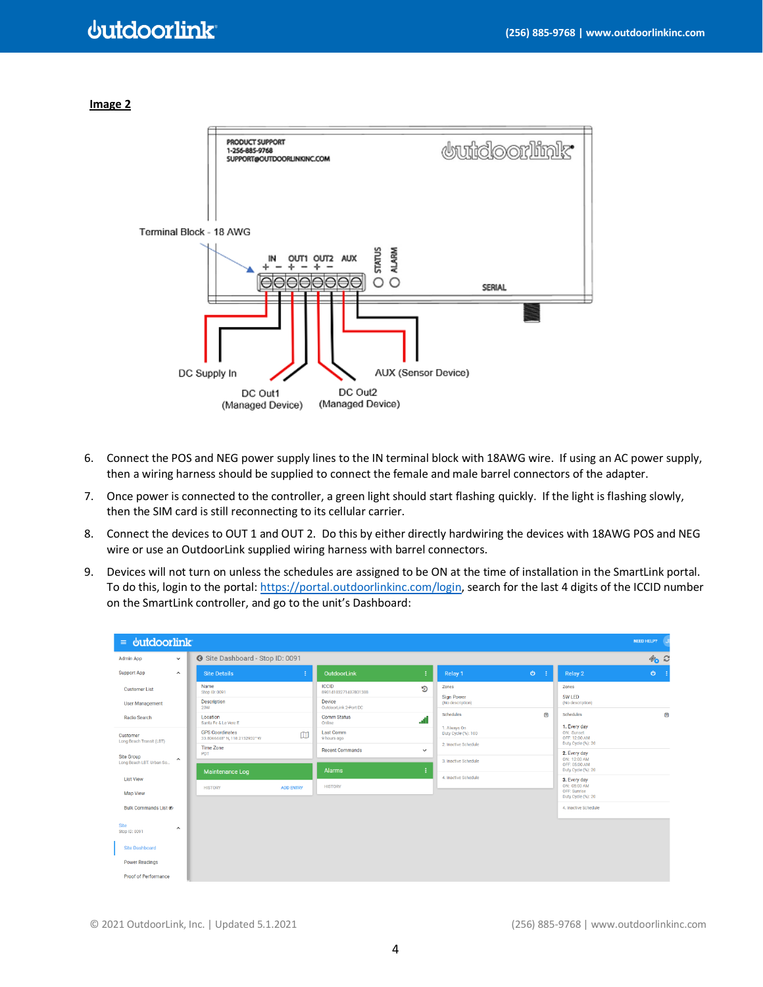# **Juidoorlink**

#### **Image 2**



- 6. Connect the POS and NEG power supply lines to the IN terminal block with 18AWG wire. If using an AC power supply, then a wiring harness should be supplied to connect the female and male barrel connectors of the adapter.
- 7. Once power is connected to the controller, a green light should start flashing quickly. If the light is flashing slowly, then the SIM card is still reconnecting to its cellular carrier.
- 8. Connect the devices to OUT 1 and OUT 2. Do this by either directly hardwiring the devices with 18AWG POS and NEG wire or use an OutdoorLink supplied wiring harness with barrel connectors.
- 9. Devices will not turn on unless the schedules are assigned to be ON at the time of installation in the SmartLink portal. To do this, login to the portal[: https://portal.outdoorlinkinc.com/login,](https://portal.outdoorlinkinc.com/login) search for the last 4 digits of the ICCID number on the SmartLink controller, and go to the unit's Dashboard:

| $\equiv$ butdoorlink                   |                     |                                                         |                  |                                      |              |                                     |        |                                                     | <b>NEED HELP?</b>                     |
|----------------------------------------|---------------------|---------------------------------------------------------|------------------|--------------------------------------|--------------|-------------------------------------|--------|-----------------------------------------------------|---------------------------------------|
| <b>Admin App</b>                       | $\checkmark$        | Site Dashboard - Stop ID: 0091                          |                  |                                      |              |                                     |        |                                                     | $\mathscr{D}_{\bullet}$ $\mathscr{C}$ |
| <b>Support App</b>                     | $\hat{\phantom{a}}$ | <b>Site Details</b>                                     |                  | OutdoorLink                          | ÷            | Relay 1                             | $\Phi$ | Relay 2                                             | $\Phi$                                |
| <b>Customer List</b>                   |                     | Name<br>Stop ID: 0091                                   |                  | <b>ICCID</b><br>89014103271407801388 | ூ            | Zones                               |        | Zones                                               |                                       |
| <b>User Management</b>                 |                     | Description<br><b>20W</b>                               |                  | Device<br>OutdoorLink 2-Port DC      |              | Sign Power<br>(No description)      |        | 5W LED<br>(No description)                          |                                       |
| <b>Radio Search</b>                    |                     | Location<br>Santa Fe & Le Vere E                        |                  | <b>Comm Status</b><br>Online         |              | Schedules                           | $\Box$ | Schedules                                           | $\boxdot$                             |
| Customer                               |                     | <b>GPS Coordinates</b><br>33.8066448* N, 118.2152932* W | $\square$        | <b>Last Comm</b><br>9 hours ago      |              | 1. Always On<br>Duty Cycle (%): 100 |        | 1. Every day<br>ON: Sunset<br>OFF: 12:00 AM         |                                       |
| Long Beach Transit (LBT)               |                     | <b>Time Zone</b><br>PDT                                 |                  | <b>Recent Commands</b>               | $\checkmark$ | 2. Inactive Schedule                |        | Duty Cycle (%): 20<br>2. Every day                  |                                       |
| Site Group<br>Long Beach LBT. Urban So | $\hat{\phantom{a}}$ |                                                         |                  | Alarms                               | ÷            | 3. Inactive Schedule                |        | ON: 12:00 AM<br>OFF: 05:00 AM<br>Duty Cycle (%): 20 |                                       |
| <b>List View</b>                       |                     | <b>Maintenance Log</b>                                  |                  |                                      |              | 4. Inactive Schedule                |        | 3. Every day<br>ON: 05:00 AM                        |                                       |
| Map View                               |                     | <b>HISTORY</b>                                          | <b>ADD ENTRY</b> | <b>HISTORY</b>                       |              |                                     |        | OFF: Sunrise<br>Duty Cycle (%): 20                  |                                       |
| Bulk Commands List &                   |                     |                                                         |                  |                                      |              |                                     |        | 4. Inactive Schedule                                |                                       |
| Site                                   | $\hat{}$            |                                                         |                  |                                      |              |                                     |        |                                                     |                                       |
| Stop ID: 0091                          |                     |                                                         |                  |                                      |              |                                     |        |                                                     |                                       |
| <b>Site Dashboard</b>                  |                     |                                                         |                  |                                      |              |                                     |        |                                                     |                                       |
| <b>Power Readings</b>                  |                     |                                                         |                  |                                      |              |                                     |        |                                                     |                                       |
| <b>Proof of Performance</b>            |                     |                                                         |                  |                                      |              |                                     |        |                                                     |                                       |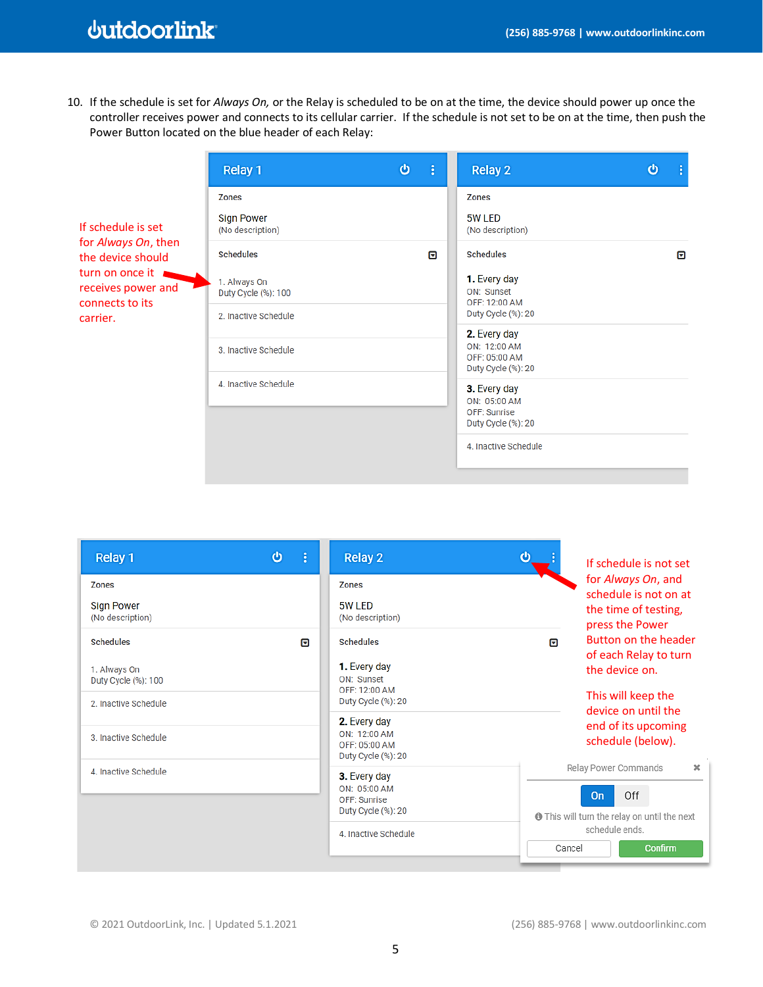# **dutdoorlink**

10. If the schedule is set for *Always On,* or the Relay is scheduled to be on at the time, the device should power up once the controller receives power and connects to its cellular carrier. If the schedule is not set to be on at the time, then push the Power Button located on the blue header of each Relay:

|                                                          | Relay 1                               | $\boldsymbol{\omega}$ | ÷ | Relay 2                                                             | $\boldsymbol{\omega}$ | ÷ |
|----------------------------------------------------------|---------------------------------------|-----------------------|---|---------------------------------------------------------------------|-----------------------|---|
|                                                          | <b>Zones</b>                          |                       |   | Zones                                                               |                       |   |
| If schedule is set                                       | <b>Sign Power</b><br>(No description) |                       |   | 5W LED<br>(No description)                                          |                       |   |
| for Always On, then<br>the device should                 | <b>Schedules</b>                      |                       | ⊡ | <b>Schedules</b>                                                    |                       | ⊡ |
| turn on once it<br>receives power and<br>connects to its | 1. Always On<br>Duty Cycle (%): 100   |                       |   | 1. Every day<br>ON: Sunset<br>OFF: 12:00 AM                         |                       |   |
| carrier.                                                 | 2. Inactive Schedule                  |                       |   | Duty Cycle (%): 20                                                  |                       |   |
|                                                          | 3. Inactive Schedule                  |                       |   | 2. Every day<br>ON: 12:00 AM<br>OFF: 05:00 AM<br>Duty Cycle (%): 20 |                       |   |
|                                                          | 4. Inactive Schedule                  |                       |   | 3. Every day<br>ON: 05:00 AM<br>OFF: Sunrise<br>Duty Cycle (%): 20  |                       |   |
|                                                          |                                       |                       |   | 4. Inactive Schedule                                                |                       |   |

| Relay 1<br><b>Zones</b>                                                         | ტ<br>ŧ | Relay 2<br><b>Zones</b>                                                               | ტ<br>If schedule is not set<br>for Always On, and<br>schedule is not on at                            |
|---------------------------------------------------------------------------------|--------|---------------------------------------------------------------------------------------|-------------------------------------------------------------------------------------------------------|
| <b>Sign Power</b><br>(No description)                                           |        | 5W LED<br>(No description)                                                            | the time of testing,<br>press the Power                                                               |
| <b>Schedules</b><br>1. Always On<br>Duty Cycle (%): 100<br>2. Inactive Schedule | ⊓      | <b>Schedules</b><br>1. Every day<br>ON: Sunset<br>OFF: 12:00 AM<br>Duty Cycle (%): 20 | Button on the header<br>冋<br>of each Relay to turn<br>the device on.<br>This will keep the            |
| 3. Inactive Schedule                                                            |        | 2. Every day<br>ON: 12:00 AM<br>OFF: 05:00 AM<br>Duty Cycle (%): 20                   | device on until the<br>end of its upcoming<br>schedule (below).                                       |
| 4. Inactive Schedule                                                            |        | 3. Every day<br>ON: 05:00 AM<br>OFF: Sunrise<br>Duty Cycle (%): 20                    | Relay Power Commands<br>$\mathbf x$<br>Off<br><b>On</b><br>This will turn the relay on until the next |
|                                                                                 |        | 4. Inactive Schedule                                                                  | schedule ends.<br>Cancel<br>Confirm                                                                   |